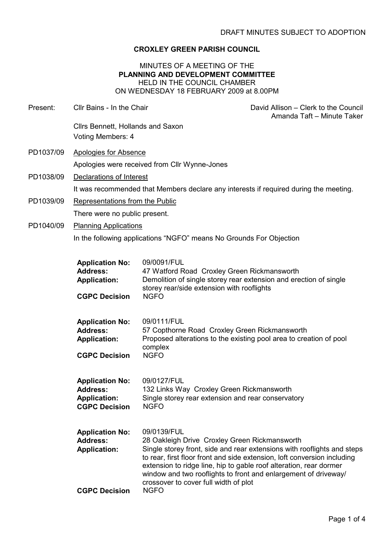# CROXLEY GREEN PARISH COUNCIL

#### MINUTES OF A MEETING OF THE PLANNING AND DEVELOPMENT COMMITTEE HELD IN THE COUNCIL CHAMBER ON WEDNESDAY 18 FEBRUARY 2009 at 8.00PM

| Present:  | Cllr Bains - In the Chair                                                                |                                                                                                                                                                             | David Allison - Clerk to the Council<br>Amanda Taft - Minute Taker                                                                                                                                                     |  |  |
|-----------|------------------------------------------------------------------------------------------|-----------------------------------------------------------------------------------------------------------------------------------------------------------------------------|------------------------------------------------------------------------------------------------------------------------------------------------------------------------------------------------------------------------|--|--|
|           | Cllrs Bennett, Hollands and Saxon<br>Voting Members: 4                                   |                                                                                                                                                                             |                                                                                                                                                                                                                        |  |  |
| PD1037/09 | <b>Apologies for Absence</b>                                                             |                                                                                                                                                                             |                                                                                                                                                                                                                        |  |  |
|           | Apologies were received from Cllr Wynne-Jones                                            |                                                                                                                                                                             |                                                                                                                                                                                                                        |  |  |
| PD1038/09 | Declarations of Interest                                                                 |                                                                                                                                                                             |                                                                                                                                                                                                                        |  |  |
|           | It was recommended that Members declare any interests if required during the meeting.    |                                                                                                                                                                             |                                                                                                                                                                                                                        |  |  |
| PD1039/09 | Representations from the Public                                                          |                                                                                                                                                                             |                                                                                                                                                                                                                        |  |  |
|           | There were no public present.                                                            |                                                                                                                                                                             |                                                                                                                                                                                                                        |  |  |
| PD1040/09 | <b>Planning Applications</b>                                                             |                                                                                                                                                                             |                                                                                                                                                                                                                        |  |  |
|           | In the following applications "NGFO" means No Grounds For Objection                      |                                                                                                                                                                             |                                                                                                                                                                                                                        |  |  |
|           | <b>Application No:</b><br><b>Address:</b><br><b>Application:</b><br><b>CGPC Decision</b> | 09/0091/FUL<br>47 Watford Road Croxley Green Rickmansworth<br>storey rear/side extension with rooflights<br><b>NGFO</b>                                                     | Demolition of single storey rear extension and erection of single                                                                                                                                                      |  |  |
|           | <b>Application No:</b><br><b>Address:</b><br><b>Application:</b><br><b>CGPC Decision</b> | 09/0111/FUL<br>57 Copthorne Road Croxley Green Rickmansworth<br>complex<br><b>NGFO</b>                                                                                      | Proposed alterations to the existing pool area to creation of pool                                                                                                                                                     |  |  |
|           | <b>Application No:</b><br><b>Address:</b><br><b>Application:</b><br><b>CGPC Decision</b> | 09/0127/FUL<br>132 Links Way Croxley Green Rickmansworth<br>Single storey rear extension and rear conservatory<br><b>NGFO</b>                                               |                                                                                                                                                                                                                        |  |  |
|           | <b>Application No:</b><br><b>Address:</b><br><b>Application:</b>                         | 09/0139/FUL<br>28 Oakleigh Drive Croxley Green Rickmansworth<br>extension to ridge line, hip to gable roof alteration, rear dormer<br>crossover to cover full width of plot | Single storey front, side and rear extensions with rooflights and steps<br>to rear, first floor front and side extension, loft conversion including<br>window and two rooflights to front and enlargement of driveway/ |  |  |
|           | <b>CGPC Decision</b>                                                                     | <b>NGFO</b>                                                                                                                                                                 |                                                                                                                                                                                                                        |  |  |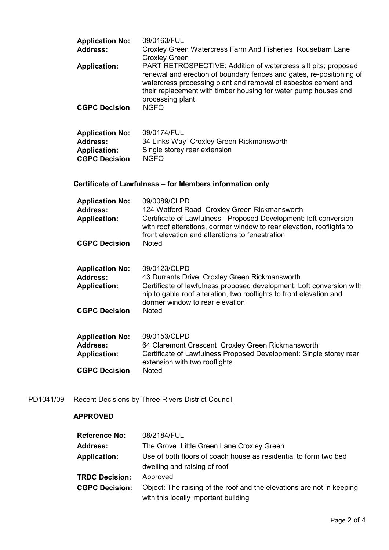| <b>Application No:</b><br><b>Address:</b><br><b>Application:</b><br><b>CGPC Decision</b> | 09/0163/FUL<br>Croxley Green Watercress Farm And Fisheries Rousebarn Lane<br><b>Croxley Green</b><br>PART RETROSPECTIVE: Addition of watercress silt pits; proposed<br>renewal and erection of boundary fences and gates, re-positioning of<br>watercress processing plant and removal of asbestos cement and<br>their replacement with timber housing for water pump houses and<br>processing plant<br><b>NGFO</b> |  |  |  |
|------------------------------------------------------------------------------------------|---------------------------------------------------------------------------------------------------------------------------------------------------------------------------------------------------------------------------------------------------------------------------------------------------------------------------------------------------------------------------------------------------------------------|--|--|--|
| <b>Application No:</b><br><b>Address:</b><br><b>Application:</b><br><b>CGPC Decision</b> | 09/0174/FUL<br>34 Links Way Croxley Green Rickmansworth<br>Single storey rear extension<br><b>NGFO</b>                                                                                                                                                                                                                                                                                                              |  |  |  |
| Certificate of Lawfulness – for Members information only                                 |                                                                                                                                                                                                                                                                                                                                                                                                                     |  |  |  |
| <b>Application No:</b><br><b>Address:</b><br><b>Application:</b><br><b>CGPC Decision</b> | 09/0089/CLPD<br>124 Watford Road Croxley Green Rickmansworth<br>Certificate of Lawfulness - Proposed Development: loft conversion<br>with roof alterations, dormer window to rear elevation, rooflights to<br>front elevation and alterations to fenestration<br><b>Noted</b>                                                                                                                                       |  |  |  |
| <b>Application No:</b><br><b>Address:</b><br><b>Application:</b><br><b>CGPC Decision</b> | 09/0123/CLPD<br>43 Durrants Drive Croxley Green Rickmansworth<br>Certificate of lawfulness proposed development: Loft conversion with<br>hip to gable roof alteration, two rooflights to front elevation and<br>dormer window to rear elevation<br><b>Noted</b>                                                                                                                                                     |  |  |  |
| <b>Application No:</b><br><b>Address:</b><br><b>Application:</b><br><b>CGPC Decision</b> | 09/0153/CLPD<br>64 Claremont Crescent Croxley Green Rickmansworth<br>Certificate of Lawfulness Proposed Development: Single storey rear<br>extension with two rooflights<br><b>Noted</b>                                                                                                                                                                                                                            |  |  |  |

# PD1041/09 Recent Decisions by Three Rivers District Council

# APPROVED

| <b>Reference No:</b>  | 08/2184/FUL                                                                                                   |
|-----------------------|---------------------------------------------------------------------------------------------------------------|
| <b>Address:</b>       | The Grove Little Green Lane Croxley Green                                                                     |
| <b>Application:</b>   | Use of both floors of coach house as residential to form two bed<br>dwelling and raising of roof              |
| <b>TRDC Decision:</b> | Approved                                                                                                      |
| <b>CGPC Decision:</b> | Object: The raising of the roof and the elevations are not in keeping<br>with this locally important building |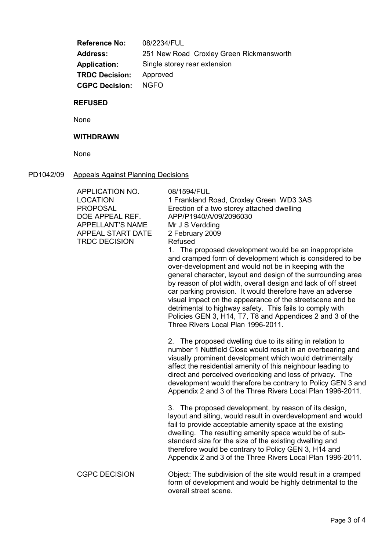Reference No: 08/2234/FUL Address: 251 New Road Croxley Green Rickmansworth Application: Single storey rear extension TRDC Decision: Approved CGPC Decision: NGFO

#### REFUSED

None

# WITHDRAWN

None

# PD1042/09 Appeals Against Planning Decisions

| APPLICATION NO.<br><b>LOCATION</b><br><b>PROPOSAL</b><br>DOE APPEAL REF.<br><b>APPELLANT'S NAME</b><br>APPEAL START DATE<br><b>TRDC DECISION</b> | 08/1594/FUL<br>1 Frankland Road, Croxley Green WD3 3AS<br>Erection of a two storey attached dwelling<br>APP/P1940/A/09/2096030<br>Mr J S Verdding<br>2 February 2009<br>Refused<br>1. The proposed development would be an inappropriate<br>and cramped form of development which is considered to be<br>over-development and would not be in keeping with the<br>general character, layout and design of the surrounding area<br>by reason of plot width, overall design and lack of off street<br>car parking provision. It would therefore have an adverse<br>visual impact on the appearance of the streetscene and be<br>detrimental to highway safety. This fails to comply with<br>Policies GEN 3, H14, T7, T8 and Appendices 2 and 3 of the<br>Three Rivers Local Plan 1996-2011. |
|--------------------------------------------------------------------------------------------------------------------------------------------------|-------------------------------------------------------------------------------------------------------------------------------------------------------------------------------------------------------------------------------------------------------------------------------------------------------------------------------------------------------------------------------------------------------------------------------------------------------------------------------------------------------------------------------------------------------------------------------------------------------------------------------------------------------------------------------------------------------------------------------------------------------------------------------------------|
|                                                                                                                                                  | 2. The proposed dwelling due to its siting in relation to<br>number 1 Nuttfield Close would result in an overbearing and<br>visually prominent development which would detrimentally<br>affect the residential amenity of this neighbour leading to<br>direct and perceived overlooking and loss of privacy. The<br>development would therefore be contrary to Policy GEN 3 and<br>Appendix 2 and 3 of the Three Rivers Local Plan 1996-2011.                                                                                                                                                                                                                                                                                                                                             |
|                                                                                                                                                  | 3. The proposed development, by reason of its design,<br>layout and siting, would result in overdevelopment and would<br>fail to provide acceptable amenity space at the existing<br>dwelling. The resulting amenity space would be of sub-<br>standard size for the size of the existing dwelling and<br>therefore would be contrary to Policy GEN 3, H14 and<br>Appendix 2 and 3 of the Three Rivers Local Plan 1996-2011.                                                                                                                                                                                                                                                                                                                                                              |
| <b>CGPC DECISION</b>                                                                                                                             | Object: The subdivision of the site would result in a cramped<br>form of development and would be highly detrimental to the<br>overall street scene.                                                                                                                                                                                                                                                                                                                                                                                                                                                                                                                                                                                                                                      |